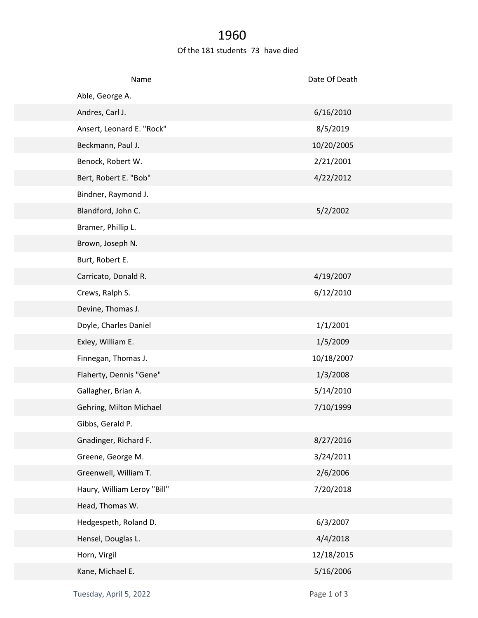## 1960

## Of the 181 students 73 have died

| Name                        | Date Of Death |  |
|-----------------------------|---------------|--|
| Able, George A.             |               |  |
| Andres, Carl J.             | 6/16/2010     |  |
| Ansert, Leonard E. "Rock"   | 8/5/2019      |  |
| Beckmann, Paul J.           | 10/20/2005    |  |
| Benock, Robert W.           | 2/21/2001     |  |
| Bert, Robert E. "Bob"       | 4/22/2012     |  |
| Bindner, Raymond J.         |               |  |
| Blandford, John C.          | 5/2/2002      |  |
| Bramer, Phillip L.          |               |  |
| Brown, Joseph N.            |               |  |
| Burt, Robert E.             |               |  |
| Carricato, Donald R.        | 4/19/2007     |  |
| Crews, Ralph S.             | 6/12/2010     |  |
| Devine, Thomas J.           |               |  |
| Doyle, Charles Daniel       | 1/1/2001      |  |
| Exley, William E.           | 1/5/2009      |  |
| Finnegan, Thomas J.         | 10/18/2007    |  |
| Flaherty, Dennis "Gene"     | 1/3/2008      |  |
| Gallagher, Brian A.         | 5/14/2010     |  |
| Gehring, Milton Michael     | 7/10/1999     |  |
| Gibbs, Gerald P.            |               |  |
| Gnadinger, Richard F.       | 8/27/2016     |  |
| Greene, George M.           | 3/24/2011     |  |
| Greenwell, William T.       | 2/6/2006      |  |
| Haury, William Leroy "Bill" | 7/20/2018     |  |
| Head, Thomas W.             |               |  |
| Hedgespeth, Roland D.       | 6/3/2007      |  |
| Hensel, Douglas L.          | 4/4/2018      |  |
| Horn, Virgil                | 12/18/2015    |  |
| Kane, Michael E.            | 5/16/2006     |  |
|                             |               |  |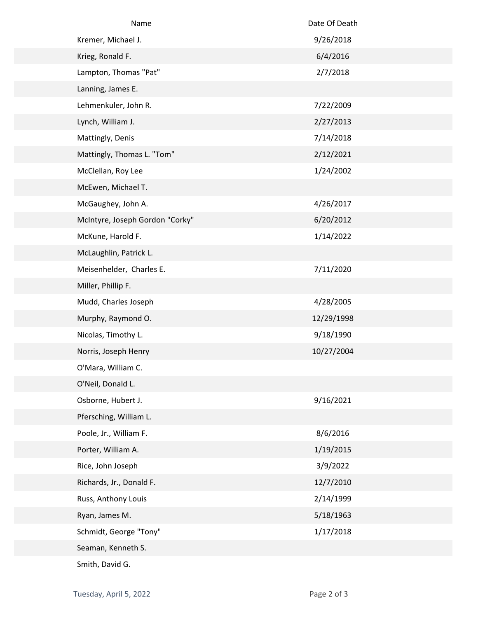| Name                            | Date Of Death |  |
|---------------------------------|---------------|--|
| Kremer, Michael J.              | 9/26/2018     |  |
| Krieg, Ronald F.                | 6/4/2016      |  |
| Lampton, Thomas "Pat"           | 2/7/2018      |  |
| Lanning, James E.               |               |  |
| Lehmenkuler, John R.            | 7/22/2009     |  |
| Lynch, William J.               | 2/27/2013     |  |
| Mattingly, Denis                | 7/14/2018     |  |
| Mattingly, Thomas L. "Tom"      | 2/12/2021     |  |
| McClellan, Roy Lee              | 1/24/2002     |  |
| McEwen, Michael T.              |               |  |
| McGaughey, John A.              | 4/26/2017     |  |
| McIntyre, Joseph Gordon "Corky" | 6/20/2012     |  |
| McKune, Harold F.               | 1/14/2022     |  |
| McLaughlin, Patrick L.          |               |  |
| Meisenhelder, Charles E.        | 7/11/2020     |  |
| Miller, Phillip F.              |               |  |
| Mudd, Charles Joseph            | 4/28/2005     |  |
| Murphy, Raymond O.              | 12/29/1998    |  |
| Nicolas, Timothy L.             | 9/18/1990     |  |
| Norris, Joseph Henry            | 10/27/2004    |  |
| O'Mara, William C.              |               |  |
| O'Neil, Donald L.               |               |  |
| Osborne, Hubert J.              | 9/16/2021     |  |
| Pfersching, William L.          |               |  |
| Poole, Jr., William F.          | 8/6/2016      |  |
| Porter, William A.              | 1/19/2015     |  |
| Rice, John Joseph               | 3/9/2022      |  |
| Richards, Jr., Donald F.        | 12/7/2010     |  |
| Russ, Anthony Louis             | 2/14/1999     |  |
| Ryan, James M.                  | 5/18/1963     |  |
| Schmidt, George "Tony"          | 1/17/2018     |  |
| Seaman, Kenneth S.              |               |  |
| Smith, David G.                 |               |  |